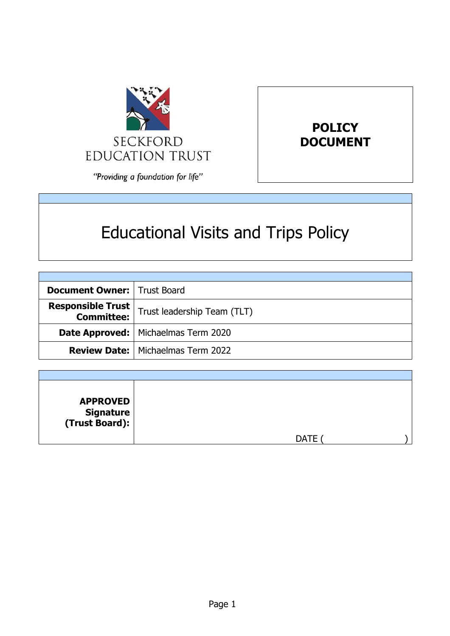



"Providing a foundation for life"

# Educational Visits and Trips Policy

| <b>Document Owner:   Trust Board</b> |                                                                           |
|--------------------------------------|---------------------------------------------------------------------------|
|                                      | <b>Responsible Trust</b><br><b>Committee:</b> Trust leadership Team (TLT) |
|                                      | <b>Date Approved:   Michaelmas Term 2020</b>                              |
|                                      | <b>Review Date:</b>   Michaelmas Term 2022                                |

| <b>APPROVED</b><br>  Signature<br>  (Trust Board): |             |  |
|----------------------------------------------------|-------------|--|
|                                                    | <b>DATE</b> |  |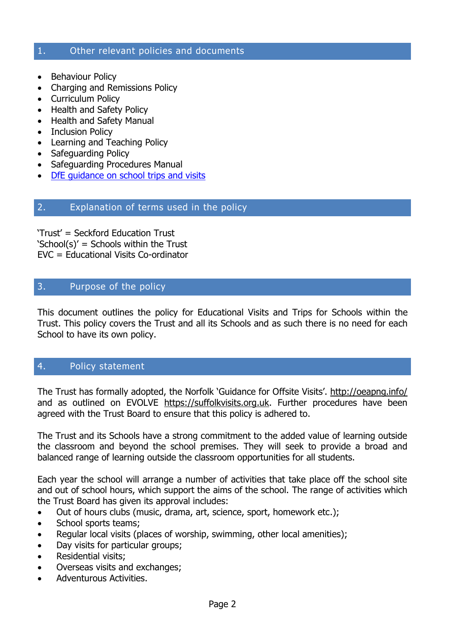#### 1. Other relevant policies and documents

- Behaviour Policy
- Charging and Remissions Policy
- Curriculum Policy
- Health and Safety Policy
- Health and Safety Manual
- Inclusion Policy
- Learning and Teaching Policy
- Safeguarding Policy
- Safeguarding Procedures Manual
- DfE quidance on school trips and visits

# 2. Explanation of terms used in the policy

'Trust' = Seckford Education Trust 'School(s)' = Schools within the Trust EVC = Educational Visits Co-ordinator

# 3. Purpose of the policy

This document outlines the policy for Educational Visits and Trips for Schools within the Trust. This policy covers the Trust and all its Schools and as such there is no need for each School to have its own policy.

# 4. Policy statement

The Trust has formally adopted, the Norfolk 'Guidance for Offsite Visits'. <http://oeapng.info/> and as outlined on EVOLVE [https://suffolkvisits.org.uk.](https://evolve.edufocus.co.uk/evco6/evchome_public.asp?domain=suffolkvisits.org.uk) Further procedures have been agreed with the Trust Board to ensure that this policy is adhered to.

The Trust and its Schools have a strong commitment to the added value of learning outside the classroom and beyond the school premises. They will seek to provide a broad and balanced range of learning outside the classroom opportunities for all students.

Each year the school will arrange a number of activities that take place off the school site and out of school hours, which support the aims of the school. The range of activities which the Trust Board has given its approval includes:

- Out of hours clubs (music, drama, art, science, sport, homework etc.);
- School sports teams;
- Regular local visits (places of worship, swimming, other local amenities);
- Day visits for particular groups;
- Residential visits;
- Overseas visits and exchanges;
- Adventurous Activities.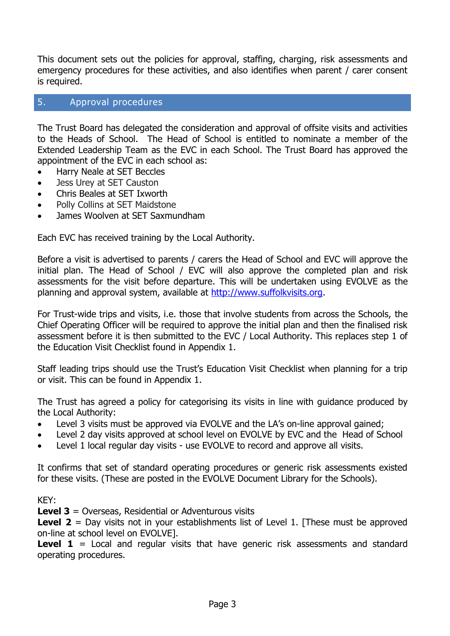This document sets out the policies for approval, staffing, charging, risk assessments and emergency procedures for these activities, and also identifies when parent / carer consent is required.

# 5. Approval procedures

The Trust Board has delegated the consideration and approval of offsite visits and activities to the Heads of School. The Head of School is entitled to nominate a member of the Extended Leadership Team as the EVC in each School. The Trust Board has approved the appointment of the EVC in each school as:

- Harry Neale at SET Beccles
- Jess Urey at SET Causton
- Chris Beales at SET Ixworth
- Polly Collins at SET Maidstone
- James Woolven at SET Saxmundham

Each EVC has received training by the Local Authority.

Before a visit is advertised to parents / carers the Head of School and EVC will approve the initial plan. The Head of School / EVC will also approve the completed plan and risk assessments for the visit before departure. This will be undertaken using EVOLVE as the planning and approval system, available at [http://www.suffolkvisits.org.](http://www.suffolkvisits.org/)

For Trust-wide trips and visits, i.e. those that involve students from across the Schools, the Chief Operating Officer will be required to approve the initial plan and then the finalised risk assessment before it is then submitted to the EVC / Local Authority. This replaces step 1 of the Education Visit Checklist found in Appendix 1.

Staff leading trips should use the Trust's Education Visit Checklist when planning for a trip or visit. This can be found in Appendix 1.

The Trust has agreed a policy for categorising its visits in line with guidance produced by the Local Authority:

- Level 3 visits must be approved via EVOLVE and the LA's on-line approval gained;
- Level 2 day visits approved at school level on EVOLVE by EVC and the Head of School
- Level 1 local regular day visits use EVOLVE to record and approve all visits.

It confirms that set of standard operating procedures or generic risk assessments existed for these visits. (These are posted in the EVOLVE Document Library for the Schools).

#### KEY:

**Level 3** = Overseas, Residential or Adventurous visits

**Level 2** = Day visits not in your establishments list of Level 1. [These must be approved on-line at school level on EVOLVE].

**Level 1** = Local and regular visits that have generic risk assessments and standard operating procedures.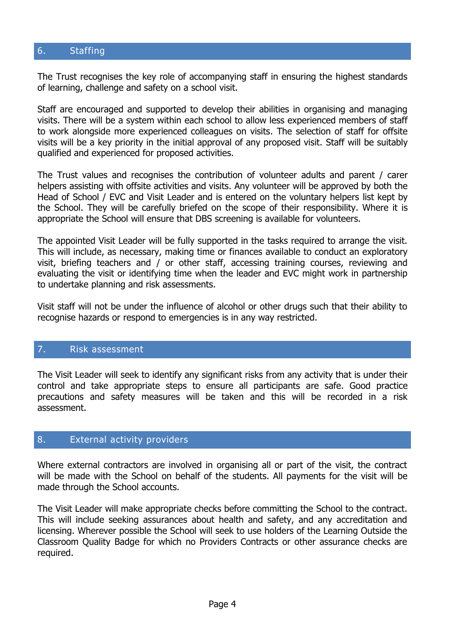# 6. Staffing

The Trust recognises the key role of accompanying staff in ensuring the highest standards of learning, challenge and safety on a school visit.

Staff are encouraged and supported to develop their abilities in organising and managing visits. There will be a system within each school to allow less experienced members of staff to work alongside more experienced colleagues on visits. The selection of staff for offsite visits will be a key priority in the initial approval of any proposed visit. Staff will be suitably qualified and experienced for proposed activities.

The Trust values and recognises the contribution of volunteer adults and parent / carer helpers assisting with offsite activities and visits. Any volunteer will be approved by both the Head of School / EVC and Visit Leader and is entered on the voluntary helpers list kept by the School. They will be carefully briefed on the scope of their responsibility. Where it is appropriate the School will ensure that DBS screening is available for volunteers.

The appointed Visit Leader will be fully supported in the tasks required to arrange the visit. This will include, as necessary, making time or finances available to conduct an exploratory visit, briefing teachers and / or other staff, accessing training courses, reviewing and evaluating the visit or identifying time when the leader and EVC might work in partnership to undertake planning and risk assessments.

Visit staff will not be under the influence of alcohol or other drugs such that their ability to recognise hazards or respond to emergencies is in any way restricted.

#### 7. Risk assessment

The Visit Leader will seek to identify any significant risks from any activity that is under their control and take appropriate steps to ensure all participants are safe. Good practice precautions and safety measures will be taken and this will be recorded in a risk assessment.

#### 8. External activity providers

Where external contractors are involved in organising all or part of the visit, the contract will be made with the School on behalf of the students. All payments for the visit will be made through the School accounts.

The Visit Leader will make appropriate checks before committing the School to the contract. This will include seeking assurances about health and safety, and any accreditation and licensing. Wherever possible the School will seek to use holders of the Learning Outside the Classroom Quality Badge for which no Providers Contracts or other assurance checks are required.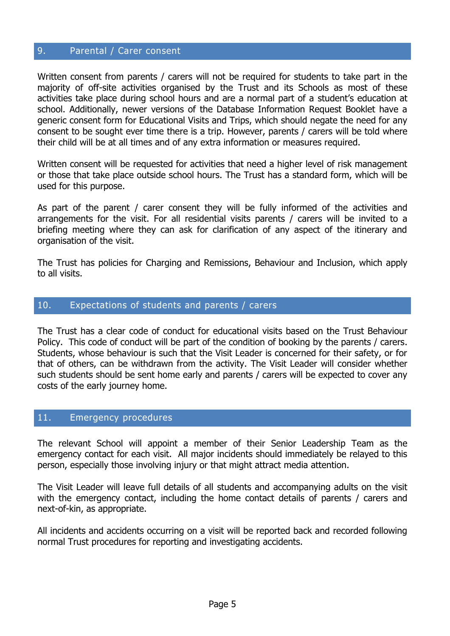#### 9. Parental / Carer consent

Written consent from parents / carers will not be required for students to take part in the majority of off-site activities organised by the Trust and its Schools as most of these activities take place during school hours and are a normal part of a student's education at school. Additionally, newer versions of the Database Information Request Booklet have a generic consent form for Educational Visits and Trips, which should negate the need for any consent to be sought ever time there is a trip. However, parents / carers will be told where their child will be at all times and of any extra information or measures required.

Written consent will be requested for activities that need a higher level of risk management or those that take place outside school hours. The Trust has a standard form, which will be used for this purpose.

As part of the parent / carer consent they will be fully informed of the activities and arrangements for the visit. For all residential visits parents / carers will be invited to a briefing meeting where they can ask for clarification of any aspect of the itinerary and organisation of the visit.

The Trust has policies for Charging and Remissions, Behaviour and Inclusion, which apply to all visits.

#### 10. Expectations of students and parents / carers

The Trust has a clear code of conduct for educational visits based on the Trust Behaviour Policy. This code of conduct will be part of the condition of booking by the parents / carers. Students, whose behaviour is such that the Visit Leader is concerned for their safety, or for that of others, can be withdrawn from the activity. The Visit Leader will consider whether such students should be sent home early and parents / carers will be expected to cover any costs of the early journey home.

#### 11. Emergency procedures

The relevant School will appoint a member of their Senior Leadership Team as the emergency contact for each visit. All major incidents should immediately be relayed to this person, especially those involving injury or that might attract media attention.

The Visit Leader will leave full details of all students and accompanying adults on the visit with the emergency contact, including the home contact details of parents / carers and next-of-kin, as appropriate.

All incidents and accidents occurring on a visit will be reported back and recorded following normal Trust procedures for reporting and investigating accidents.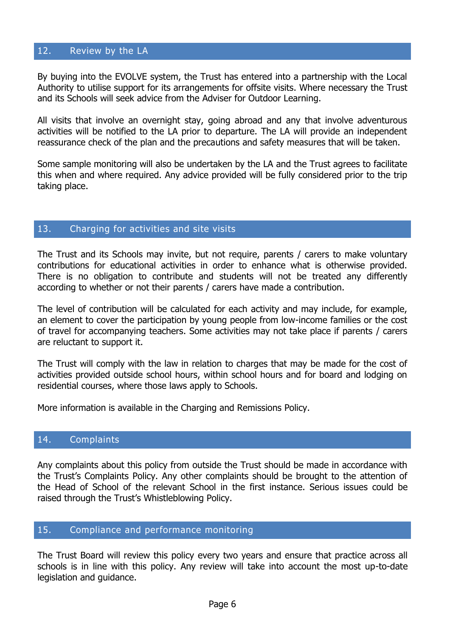#### 12. Review by the LA

By buying into the EVOLVE system, the Trust has entered into a partnership with the Local Authority to utilise support for its arrangements for offsite visits. Where necessary the Trust and its Schools will seek advice from the Adviser for Outdoor Learning.

All visits that involve an overnight stay, going abroad and any that involve adventurous activities will be notified to the LA prior to departure. The LA will provide an independent reassurance check of the plan and the precautions and safety measures that will be taken.

Some sample monitoring will also be undertaken by the LA and the Trust agrees to facilitate this when and where required. Any advice provided will be fully considered prior to the trip taking place.

#### 13. Charging for activities and site visits

The Trust and its Schools may invite, but not require, parents / carers to make voluntary contributions for educational activities in order to enhance what is otherwise provided. There is no obligation to contribute and students will not be treated any differently according to whether or not their parents / carers have made a contribution.

The level of contribution will be calculated for each activity and may include, for example, an element to cover the participation by young people from low-income families or the cost of travel for accompanying teachers. Some activities may not take place if parents / carers are reluctant to support it.

The Trust will comply with the law in relation to charges that may be made for the cost of activities provided outside school hours, within school hours and for board and lodging on residential courses, where those laws apply to Schools.

More information is available in the Charging and Remissions Policy.

#### 14. Complaints

Any complaints about this policy from outside the Trust should be made in accordance with the Trust's Complaints Policy. Any other complaints should be brought to the attention of the Head of School of the relevant School in the first instance. Serious issues could be raised through the Trust's Whistleblowing Policy.

#### 15. Compliance and performance monitoring

The Trust Board will review this policy every two years and ensure that practice across all schools is in line with this policy. Any review will take into account the most up-to-date legislation and guidance.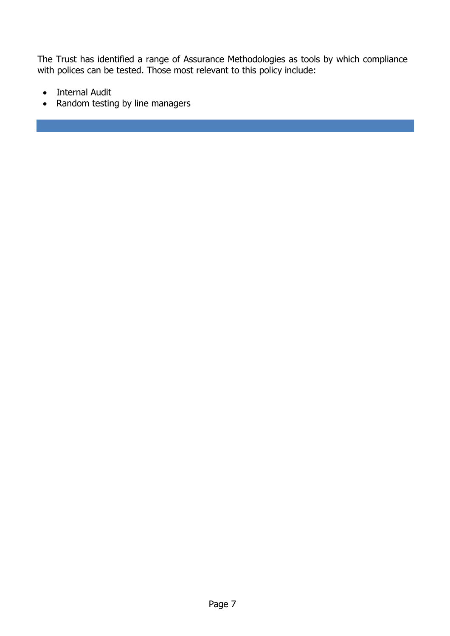The Trust has identified a range of Assurance Methodologies as tools by which compliance with polices can be tested. Those most relevant to this policy include:

- Internal Audit
- Random testing by line managers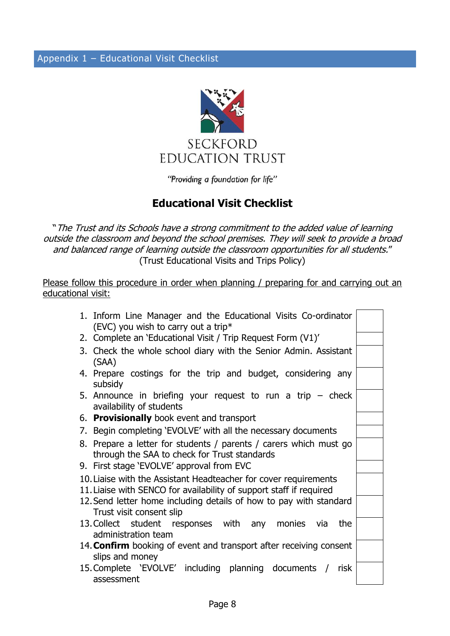

"Providing a foundation for life"

# **Educational Visit Checklist**

"The Trust and its Schools have a strong commitment to the added value of learning outside the classroom and beyond the school premises. They will seek to provide a broad and balanced range of learning outside the classroom opportunities for all students." (Trust Educational Visits and Trips Policy)

Please follow this procedure in order when planning / preparing for and carrying out an educational visit:

| 1. Inform Line Manager and the Educational Visits Co-ordinator<br>(EVC) you wish to carry out a trip*                                   |  |
|-----------------------------------------------------------------------------------------------------------------------------------------|--|
| 2. Complete an 'Educational Visit / Trip Request Form (V1)'                                                                             |  |
| 3. Check the whole school diary with the Senior Admin. Assistant<br>(SAA)                                                               |  |
| 4. Prepare costings for the trip and budget, considering any<br>subsidy                                                                 |  |
| 5. Announce in briefing your request to run a trip $-$ check<br>availability of students                                                |  |
| 6. Provisionally book event and transport                                                                                               |  |
| 7. Begin completing 'EVOLVE' with all the necessary documents                                                                           |  |
| 8. Prepare a letter for students / parents / carers which must go<br>through the SAA to check for Trust standards                       |  |
| 9. First stage 'EVOLVE' approval from EVC                                                                                               |  |
| 10. Liaise with the Assistant Headteacher for cover requirements<br>11. Liaise with SENCO for availability of support staff if required |  |
| 12. Send letter home including details of how to pay with standard<br>Trust visit consent slip                                          |  |
| 13. Collect student responses with any monies via<br>the<br>administration team                                                         |  |
| 14. <b>Confirm</b> booking of event and transport after receiving consent<br>slips and money                                            |  |
| 15. Complete 'EVOLVE' including planning documents / risk<br>assessment                                                                 |  |